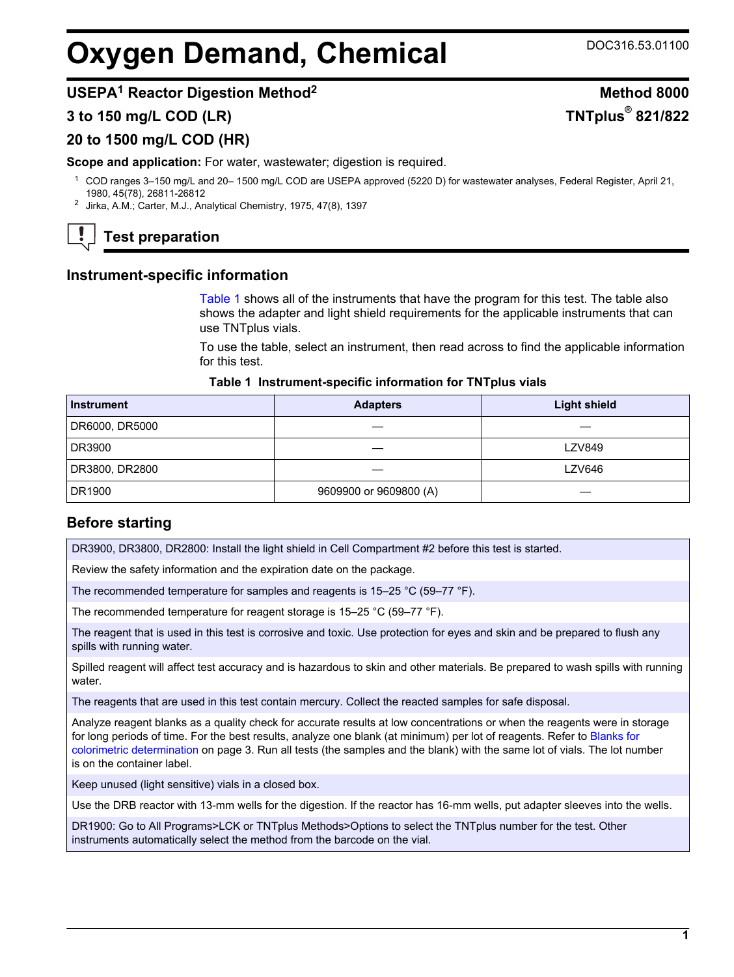# **Oxygen Demand, Chemical** DOC316.53.01100

**TNTplus® 821/822**

# **USEPA<sup>1</sup> Reactor Digestion Method<sup>2</sup> Method 8000**

## **3 to 150 mg/L COD (LR)**

## **20 to 1500 mg/L COD (HR)**

**Scope and application:** For water, wastewater; digestion is required.

- <sup>1</sup> COD ranges 3–150 mg/L and 20– 1500 mg/L COD are USEPA approved (5220 D) for wastewater analyses, Federal Register, April 21, 1980, 45(78), 26811-26812
- <sup>2</sup> Jirka, A.M.; Carter, M.J., Analytical Chemistry, 1975, 47(8), 1397



# **Test preparation**

## **Instrument-specific information**

[Table 1](#page-0-0) shows all of the instruments that have the program for this test. The table also shows the adapter and light shield requirements for the applicable instruments that can use TNTplus vials.

To use the table, select an instrument, then read across to find the applicable information for this test.

#### **Table 1 Instrument-specific information for TNTplus vials**

<span id="page-0-1"></span><span id="page-0-0"></span>

| <b>Instrument</b> | <b>Adapters</b>        | <b>Light shield</b> |  |  |
|-------------------|------------------------|---------------------|--|--|
| DR6000, DR5000    |                        |                     |  |  |
| DR3900            |                        | <b>LZV849</b>       |  |  |
| DR3800, DR2800    |                        | LZV646              |  |  |
| DR1900            | 9609900 or 9609800 (A) |                     |  |  |

## **Before starting**

DR3900, DR3800, DR2800: Install the light shield in Cell Compartment #2 before this test is started.

Review the safety information and the expiration date on the package.

The recommended temperature for samples and reagents is 15–25 °C (59–77 °F).

The recommended temperature for reagent storage is 15–25 °C (59–77 °F).

The reagent that is used in this test is corrosive and toxic. Use protection for eyes and skin and be prepared to flush any spills with running water.

Spilled reagent will affect test accuracy and is hazardous to skin and other materials. Be prepared to wash spills with running water.

The reagents that are used in this test contain mercury. Collect the reacted samples for safe disposal.

Analyze reagent blanks as a quality check for accurate results at low concentrations or when the reagents were in storage for long periods of time. For the best results, analyze one blank (at minimum) per lot of reagents. Refer to [Blanks for](#page-2-0) [colorimetric determination](#page-2-0) on page 3. Run all tests (the samples and the blank) with the same lot of vials. The lot number is on the container label.

Keep unused (light sensitive) vials in a closed box.

Use the DRB reactor with 13-mm wells for the digestion. If the reactor has 16-mm wells, put adapter sleeves into the wells.

DR1900: Go to All Programs>LCK or TNTplus Methods>Options to select the TNTplus number for the test. Other instruments automatically select the method from the barcode on the vial.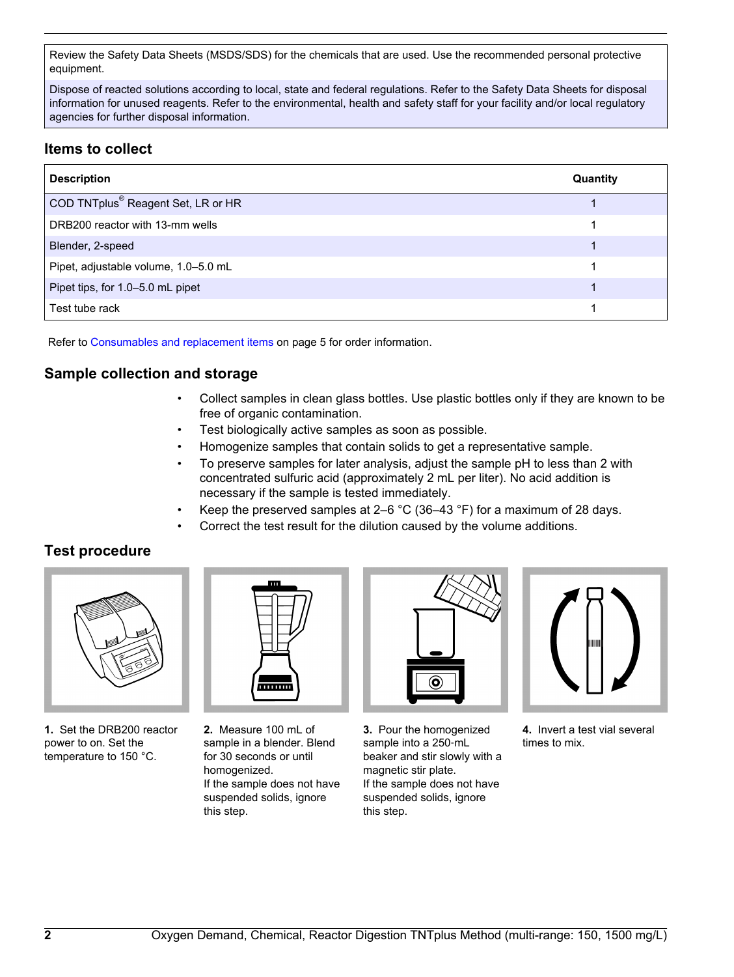Review the Safety Data Sheets (MSDS/SDS) for the chemicals that are used. Use the recommended personal protective equipment.

Dispose of reacted solutions according to local, state and federal regulations. Refer to the Safety Data Sheets for disposal information for unused reagents. Refer to the environmental, health and safety staff for your facility and/or local regulatory agencies for further disposal information.

# **Items to collect**

| <b>Description</b>                             | Quantity |
|------------------------------------------------|----------|
| COD TNTplus <sup>®</sup> Reagent Set, LR or HR |          |
| DRB200 reactor with 13-mm wells                |          |
| Blender, 2-speed                               |          |
| Pipet, adjustable volume, 1.0-5.0 mL           |          |
| Pipet tips, for 1.0-5.0 mL pipet               |          |
| Test tube rack                                 |          |

Refer to [Consumables and replacement items](#page-4-0) on page 5 for order information.

# **Sample collection and storage**

- Collect samples in clean glass bottles. Use plastic bottles only if they are known to be free of organic contamination.
- Test biologically active samples as soon as possible.
- Homogenize samples that contain solids to get a representative sample.
- To preserve samples for later analysis, adjust the sample pH to less than 2 with concentrated sulfuric acid (approximately 2 mL per liter). No acid addition is necessary if the sample is tested immediately.
- Keep the preserved samples at  $2-6$  °C (36-43 °F) for a maximum of 28 days.
- Correct the test result for the dilution caused by the volume additions.

## **Test procedure**



**1.** Set the DRB200 reactor power to on. Set the temperature to 150 °C.



**2.** Measure 100 mL of sample in a blender. Blend for 30 seconds or until homogenized. If the sample does not have suspended solids, ignore this step.



**3.** Pour the homogenized sample into a 250-mL beaker and stir slowly with a magnetic stir plate. If the sample does not have suspended solids, ignore this step.



**4.** Invert a test vial several times to mix.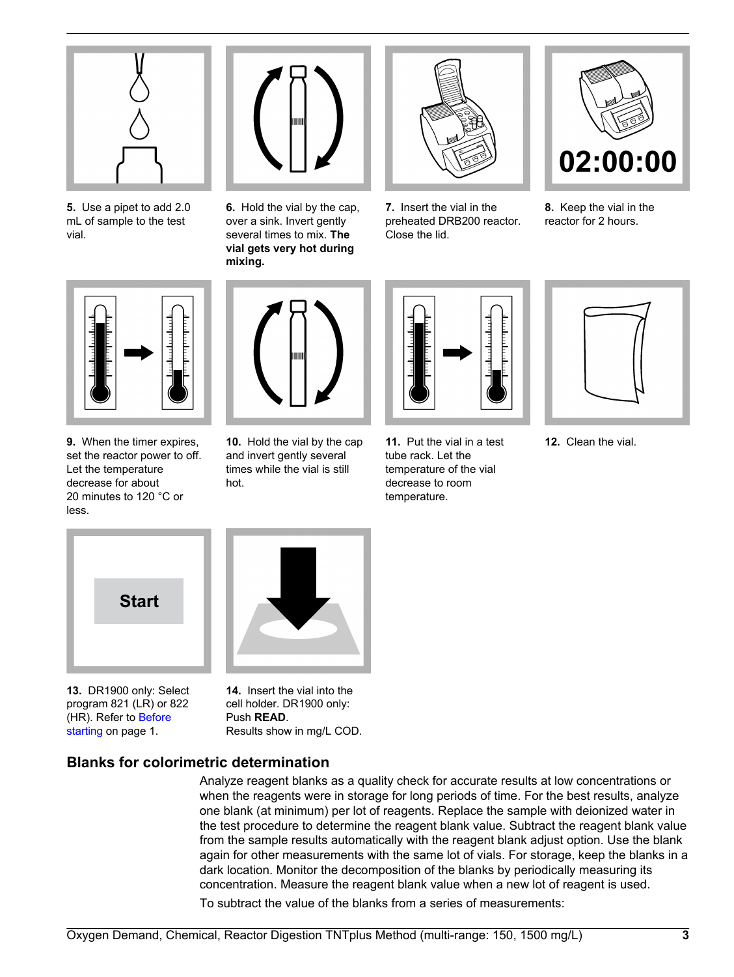

**5.** Use a pipet to add 2.0 mL of sample to the test vial.



**6.** Hold the vial by the cap, over a sink. Invert gently several times to mix. **The vial gets very hot during mixing.**



**7.** Insert the vial in the preheated DRB200 reactor. Close the lid.



**8.** Keep the vial in the reactor for 2 hours.



**9.** When the timer expires, set the reactor power to off. Let the temperature decrease for about 20 minutes to 120 °C or less.



**10.** Hold the vial by the cap and invert gently several times while the vial is still hot.



**11.** Put the vial in a test tube rack. Let the temperature of the vial decrease to room temperature.



**12.** Clean the vial.

<span id="page-2-0"></span>

**13.** DR1900 only: Select program 821 (LR) or 822 (HR). Refer to [Before](#page-0-1) [starting](#page-0-1) on page 1.

**14.** Insert the vial into the cell holder. DR1900 only: Push **READ**. Results show in mg/L COD.

# **Blanks for colorimetric determination**

Analyze reagent blanks as a quality check for accurate results at low concentrations or when the reagents were in storage for long periods of time. For the best results, analyze one blank (at minimum) per lot of reagents. Replace the sample with deionized water in the test procedure to determine the reagent blank value. Subtract the reagent blank value from the sample results automatically with the reagent blank adjust option. Use the blank again for other measurements with the same lot of vials. For storage, keep the blanks in a dark location. Monitor the decomposition of the blanks by periodically measuring its concentration. Measure the reagent blank value when a new lot of reagent is used. To subtract the value of the blanks from a series of measurements: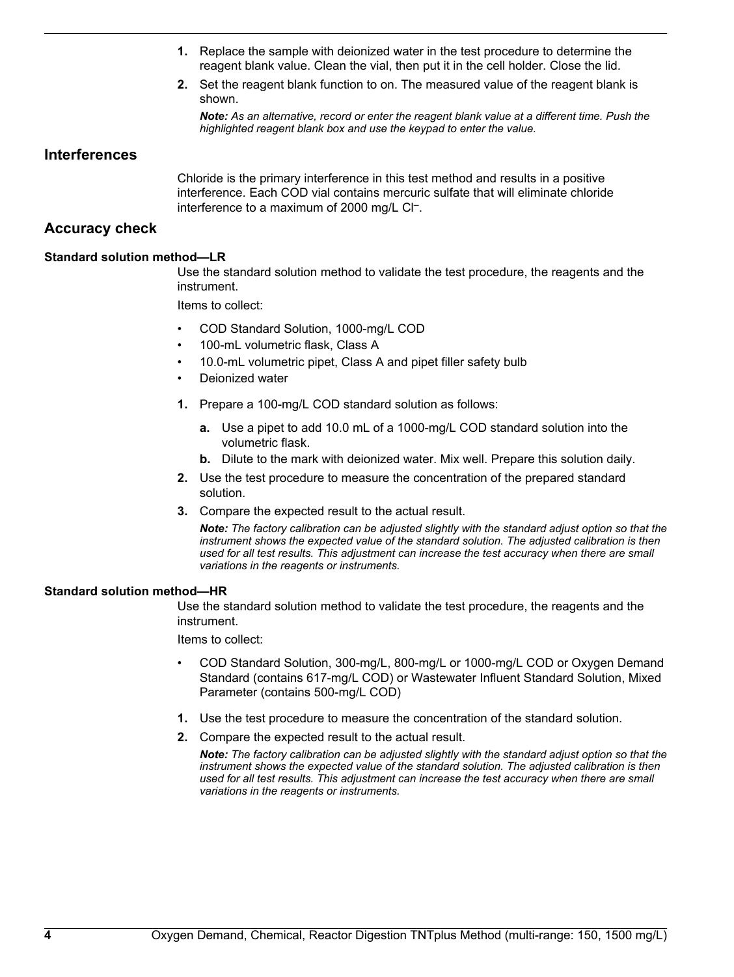- **1.** Replace the sample with deionized water in the test procedure to determine the reagent blank value. Clean the vial, then put it in the cell holder. Close the lid.
- **2.** Set the reagent blank function to on. The measured value of the reagent blank is shown.

*Note: As an alternative, record or enter the reagent blank value at a different time. Push the highlighted reagent blank box and use the keypad to enter the value.*

### **Interferences**

Chloride is the primary interference in this test method and results in a positive interference. Each COD vial contains mercuric sulfate that will eliminate chloride interference to a maximum of 2000 mg/L Cl<sup>-</sup>.

## **Accuracy check**

#### **Standard solution method—LR**

Use the standard solution method to validate the test procedure, the reagents and the instrument.

Items to collect:

- COD Standard Solution, 1000-mg/L COD
- 100-mL volumetric flask, Class A
- 10.0-mL volumetric pipet, Class A and pipet filler safety bulb
- Deionized water
- **1.** Prepare a 100-mg/L COD standard solution as follows:
	- **a.** Use a pipet to add 10.0 mL of a 1000-mg/L COD standard solution into the volumetric flask.
	- **b.** Dilute to the mark with deionized water. Mix well. Prepare this solution daily.
- **2.** Use the test procedure to measure the concentration of the prepared standard solution.
- **3.** Compare the expected result to the actual result.

*Note: The factory calibration can be adjusted slightly with the standard adjust option so that the instrument shows the expected value of the standard solution. The adjusted calibration is then used for all test results. This adjustment can increase the test accuracy when there are small variations in the reagents or instruments.*

#### **Standard solution method—HR**

Use the standard solution method to validate the test procedure, the reagents and the instrument.

Items to collect:

- COD Standard Solution, 300-mg/L, 800-mg/L or 1000-mg/L COD or Oxygen Demand Standard (contains 617-mg/L COD) or Wastewater Influent Standard Solution, Mixed Parameter (contains 500-mg/L COD)
- **1.** Use the test procedure to measure the concentration of the standard solution.
- **2.** Compare the expected result to the actual result.

*Note: The factory calibration can be adjusted slightly with the standard adjust option so that the instrument shows the expected value of the standard solution. The adjusted calibration is then used for all test results. This adjustment can increase the test accuracy when there are small variations in the reagents or instruments.*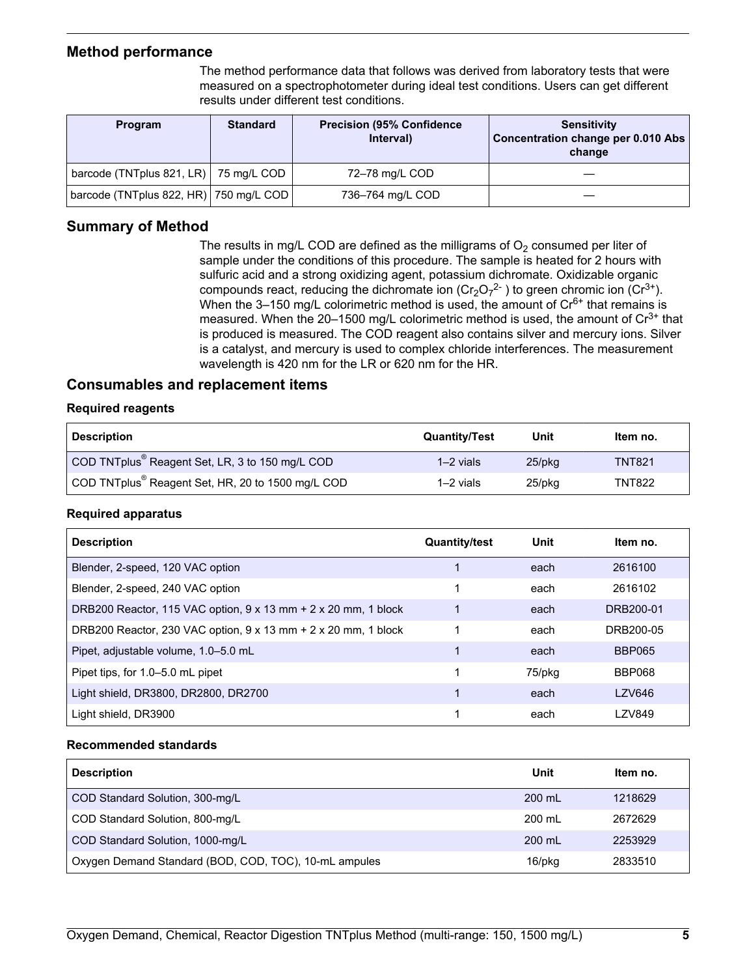## **Method performance**

The method performance data that follows was derived from laboratory tests that were measured on a spectrophotometer during ideal test conditions. Users can get different results under different test conditions.

<span id="page-4-0"></span>

| <b>Program</b>                                     | <b>Standard</b> | <b>Precision (95% Confidence)</b><br>Interval) | Sensitivity<br>Concentration change per 0.010 Abs<br>change |
|----------------------------------------------------|-----------------|------------------------------------------------|-------------------------------------------------------------|
| barcode (TNTplus 821, LR) $\vert$ 75 mg/L COD      |                 | 72-78 mg/L COD                                 |                                                             |
| barcode (TNTplus 822, HR) $ 750 \text{ mg/L COD} $ |                 | 736-764 mg/L COD                               |                                                             |

# **Summary of Method**

The results in mg/L COD are defined as the milligrams of  $O<sub>2</sub>$  consumed per liter of sample under the conditions of this procedure. The sample is heated for 2 hours with sulfuric acid and a strong oxidizing agent, potassium dichromate. Oxidizable organic compounds react, reducing the dichromate ion  $(Cr_2O_7^{2-})$  to green chromic ion  $(Cr^{3+})$ . When the 3-150 mg/L colorimetric method is used, the amount of  $Cr<sup>6+</sup>$  that remains is measured. When the 20-1500 mg/L colorimetric method is used, the amount of  $Cr^{3+}$  that is produced is measured. The COD reagent also contains silver and mercury ions. Silver is a catalyst, and mercury is used to complex chloride interferences. The measurement wavelength is 420 nm for the LR or 620 nm for the HR.

## **Consumables and replacement items**

### **Required reagents**

| <b>Description</b>                                                 | <b>Quantity/Test</b> | Unit      | Item no.      |
|--------------------------------------------------------------------|----------------------|-----------|---------------|
| COD TNTplus <sup>®</sup> Reagent Set, LR, 3 to 150 mg/L COD        | $1-2$ vials          | $25$ /pkq | <b>TNT821</b> |
| $_1$ COD TNTplus <sup>®</sup> Reagent Set, HR, 20 to 1500 mg/L COD | $1-2$ vials          | 25/pkg    | TNT822        |

#### **Required apparatus**

| <b>Description</b>                                                           | <b>Quantity/test</b> | Unit   | Item no.      |
|------------------------------------------------------------------------------|----------------------|--------|---------------|
| Blender, 2-speed, 120 VAC option                                             |                      | each   | 2616100       |
| Blender, 2-speed, 240 VAC option                                             |                      | each   | 2616102       |
| DRB200 Reactor, 115 VAC option, $9 \times 13$ mm $+ 2 \times 20$ mm, 1 block |                      | each   | DRB200-01     |
| DRB200 Reactor, 230 VAC option, $9 \times 13$ mm $+ 2 \times 20$ mm, 1 block |                      | each   | DRB200-05     |
| Pipet, adjustable volume, 1.0–5.0 mL                                         |                      | each   | <b>BBP065</b> |
| Pipet tips, for 1.0–5.0 mL pipet                                             |                      | 75/pkg | <b>BBP068</b> |
| Light shield, DR3800, DR2800, DR2700                                         |                      | each   | <b>LZV646</b> |
| Light shield, DR3900                                                         |                      | each   | <b>LZV849</b> |

#### **Recommended standards**

| <b>Description</b>                                    | Unit   | Item no. |
|-------------------------------------------------------|--------|----------|
| COD Standard Solution, 300-mg/L                       | 200 mL | 1218629  |
| COD Standard Solution, 800-mg/L                       | 200 mL | 2672629  |
| COD Standard Solution, 1000-mg/L                      | 200 mL | 2253929  |
| Oxygen Demand Standard (BOD, COD, TOC), 10-mL ampules | 16/pkg | 2833510  |